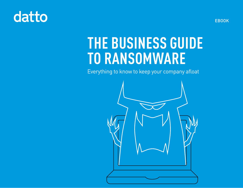# datto

**THE BUSINESS GUIDE TO RANSOMWARE**

Everything to know to keep your company afloat



EBOOK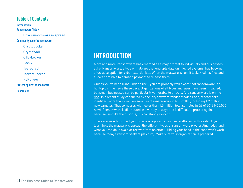#### **Table of Contents**

**Introduction Ransomware Today** How ransomware is spread **Common types of ransomware CryptoLocker CryptoWall** CTB-Locker Locky **TeslaCrypt** TorrentLocker KeRanger **Protect against ransomware Conclusion**

## **INTRODUCTION**

More and more, ransomware has emerged as a major threat to individuals and businesses alike. Ransomware, a type of malware that encrypts data on infected systems, has become a lucrative option for cyber extortionists. When the malware is run, it locks victim's files and allows criminals to demand payment to release them.

Unless you've been living under a rock, you are probably well aware that ransomware is a hot topic [in the news](http://www.datto.com/blog/hospital-hit-with-cyber-attack-new-ransomware-appears?utm_source=196&utm_campaign=Ransomware-Guide&utm_medium=Content) these days. Organizations of all types and sizes have been impacted, but small businesses can be particularly vulnerable to attacks. And [ransomware is on the](http://www.datto.com/blog/ransomware-by-the-numbers?utm_source=196&utm_campaign=Ransomware-Guide&utm_medium=Content)  [rise.](http://www.datto.com/blog/ransomware-by-the-numbers?utm_source=196&utm_campaign=Ransomware-Guide&utm_medium=Content) In a recent study conducted by security software vendor McAfee Labs, researchers identified more than [4 million samples of ransomware](http://www.mcafee.com/us/resources/reports/rp-threats-predictions-2016.pdf) in Q2 of 2015, including 1.2 million new samples. That compares with fewer than 1.5 million total samples in Q3 of 2013 (400,000 new). Ransomware is distributed in a variety of ways and is difficult to protect against because, just like the flu virus, it is constantly evolving.

There are ways to protect your business against ransomware attacks. In this e-book you'll learn how the malware is spread, the different types of ransomware proliferating today, and what you can do to avoid or recover from an attack. Hiding your head in the sand won't work, because today's ransom seekers play dirty. Make sure your organization is prepared.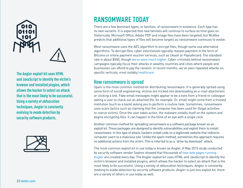

**The Angler exploit kit uses HTML and JavaScript to identify the victim's browser and installed plugins, which allows the hacker to select an attack that is the most likely to be successful. Using a variety of obfuscation techniques, Angler is constantly evolving to evade detection by security software products.**



## **RANSOMWARE TODAY**

There are a few dominant types, or families, of ransomware in existence. Each type has its own variants. It is expected that new families will continue to surface as time goes on. Historically, Microsoft Office, Adobe PDF and image files have been targeted, but McAfee predicts that additional types of files will become targets as ransomware continues to evolve.

Most ransomware uses the AES algorithm to encrypt files, though some use alternative algorithms. To decrypt files, cyber extortionists typically request payment in the form of Bitcoins or online payment voucher services, such as Ukash or Paysafecard. The standard rate is about \$500, though [we've seen much higher.](http://www.datto.com/blog/hospital-forced-to-pay-kings-ransom-after-cryptolocker-attack?utm_source=196&utm_campaign=Ransomware-Guide&utm_medium=Content) Cyber criminals behind ransomware campaigns typically focus their attacks in wealthy countries and cities where people and businesses can afford to pay the ransom. In recent months, we've seen repeated attacks on specific verticals, most notably [healthcare.](http://www.datto.com/blog/ransomware-wreaking-havoc-in-healthcare?utm_source=196&utm_campaign=Ransomware-Guide&utm_medium=Content)

#### **How ransomware is spread**

Spam is the most common method for distributing ransomware. It is generally spread using some form of social engineering; victims are tricked into downloading an e-mail attachment or clicking a link. Fake email messages might appear to be a note from a friend or colleague asking a user to check out an attached file, for example. Or, email might come from a trusted institution (such as a bank) asking you to perform a routine task. Sometimes, ransomware uses scare tactics such as claiming that the computer has been used for illegal activities to coerce victims. Once the user takes action, the malware installs itself on the system and begins encrypting files. It can happen in the blink of an eye with a single click.

Another common method for spreading ransomware is a software package known as an exploit kit. These packages are designed to identify vulnerabilities and exploit them to install ransomware. In this type of attack, hackers install code on a legitimate website that redirects computer users to a malicious site. Unlike the spam method, sometimes this approach requires no additional actions from the victim. This is referred to as a "drive-by download" attack.

The most common exploit kit in use today is known as Angler. A May 2015 study conducted by security software vendor Sophos showed that thousands of [new web pages running](https://www.sophos.com/en-us/medialibrary/PDFs/technical%20papers/sophos-current-state-of-ransomware.pdf)  [Angler](https://www.sophos.com/en-us/medialibrary/PDFs/technical%20papers/sophos-current-state-of-ransomware.pdf) are created every day. The Angler exploit kit uses HTML and JavaScript to identify the victim's browser and installed plugins, which allows the hacker to select an attack that is the most likely to be successful. Using a variety of obfuscation techniques, Angler is constantly evolving to evade detection by security software products. Angler is just one exploit kit, there are a variety of others in use today as well.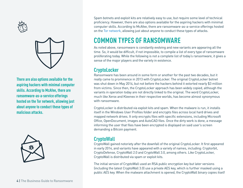



**There are also options available for the aspiring hackers with minimal computer skills. According to McAfee, there are ransomware-as-a-service offerings hosted on the Tor network, allowing just about anyone to conduct these types of malicious attacks.**



Spam botnets and exploit kits are relatively easy to use, but require some level of technical proficiency. However, there are also options available for the aspiring hackers with minimal computer skills. According to McAfee, there are ransomware-as-a-service offerings hosted on the [Tor network](https://www.torproject.org/), allowing just about anyone to conduct these types of attacks.

## **COMMON TYPES OF RANSOMWARE**

As noted above, ransomware is constantly evolving and new variants are appearing all the time. So, it would be difficult, if not impossible, to compile a list of every type of ransomware proliferating today. While the following is not a complete list of today's ransomware, it gives a sense of the major players and the variety in existence.

#### **CryptoLocker**

Ransomware has been around in some form or another for the past two decades, but it really came to prominence in 2013 with CryptoLocker. The original CryptoLocker botnet was shut down in May 2014, but not before the hackers behind it extorted nearly \$3 million from victims. Since then, the CryptoLocker approach has been widely copied, although the variants in operation today are not directly linked to the original. The word CryptoLocker, much like Xerox and Kleenex in their respective worlds, has become almost synonymous with ransomware.

CryptoLocker is distributed via exploit kits and spam. When the malware is run, it installs itself in the Windows User Profiles folder and encrypts files across local hard drives and mapped network drives. It only encrypts files with specific extensions, including Microsoft Office, OpenDocument, images and AutoCAD files. Once the dirty work is done, a message informing the user that files have been encrypted is displayed on said user's screen demanding a Bitcoin payment.

#### **CryptoWall**

CryptoWall gained notoriety after the downfall of the original CryptoLocker. It first appeared in early 2014, and variants have appeared with a variety of names, including: Cryptorbit, CryptoDefense, CryptoWall 2.0 and CryptoWall 3.0, among others. Like CryptoLocker, CryptoWall is distributed via spam or exploit kits.

The initial version of CryptoWall used an RSA public encryption key but later versions (including the latest CryptoWall 3.0) use a private AES key, which is further masked using a public AES key. When the malware attachment is opened, the CryptoWall binary copies itself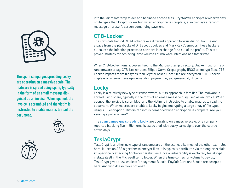

**The spam campaigns spreading Locky are operating on a massive scale. The malware is spread using spam, typically in the form of an email message disguised as an invoice. When opened, the invoice is scrambled and the victim is instructed to enable macros to read the document.**





into the Microsoft temp folder and begins to encode files. CryptoWall encrypts a wider variety of file types than CryptoLocker but, when encryption is complete, also displays a ransom message on a user's screen demanding payment.

#### **CTB-Locker**

The criminals behind CTB-Locker take a different approach to virus distribution. Taking a page from the playbooks of Girl Scout Cookies and Mary Kay Cosmetics, these hackers outsource the infection process to partners in exchange for a cut of the profits. This is a proven strategy for achieving large volumes of malware infections at a faster rate.

When CTB-Locker runs, it copies itself to the Microsoft temp directory. Unlike most forms of ransomware today, CTB-Locker uses Elliptic Curve Cryptography (ECC) to encrypt files. CTB-Locker impacts more file types than CryptoLocker. Once files are encrypted, CTB-Locker displays a ransom message demanding payment in, you guessed it, Bitcoins.

#### **Locky**

Locky is a relatively new type of ransomware, but its approach is familiar. The malware is spread using spam, typically in the form of an email message disguised as an invoice. When opened, the invoice is scrambled, and the victim is instructed to enable macros to read the document. When macros are enabled, Locky begins encrypting a large array of file types using AES encryption. Bitcoin ransom is demanded when encryption is complete. Are you sensing a pattern here?

The [spam campaigns spreading Locky](http://www.symantec.com/connect/blogs/locky-ransomware-aggressive-hunt-victims) are operating on a massive scale. One company reported blocking five million emails associated with Locky campaigns over the course of two days.

#### **TeslaCrypt**

TeslaCrypt is another new type of ransomware on the scene. Like most of the other examples here, it uses an AES algorithm to encrypt files. It is typically distributed via the Angler exploit kit specifically attacking Adobe vulnerabilities. Once a vulnerability is exploited, TeslaCrypt installs itself in the Microsoft temp folder. When the time comes for victims to pay up, TeslaCrypt gives a few choices for payment: Bitcoin, PaySafeCard and Ukash are accepted here. And who doesn't love options?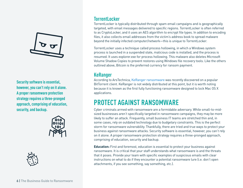

**Security software is essential, however, you can't rely on it alone. A proper ransomware protection strategy requires a three-pronged approach, comprising of education, security, and backup.**





#### **TorrentLocker**

TorrentLocker is typically distributed through spam email campaigns and is geographically targeted, with email messages delivered to specific regions. TorrentLocker is often referred to as CryptoLocker, and it uses an AES algorithm to encrypt file types. In addition to encoding files, it also collects email addresses from the victim's address book to spread malware beyond the initially infected computer/network—this is unique to TorrentLocker.

TorrentLocker uses a technique called process hollowing, in which a Windows system process is launched in a suspended state, malicious code is installed, and the process is resumed. It uses explorer.exe for process hollowing. This malware also deletes Microsoft Volume Shadow Copies to prevent restores using Windows file recovery tools. Like the others outlined above, Bitcoin is the preferred currency for ransom payment.

#### **KeRanger**

According to ArsTechnica, [KeRanger ransomware](http://arstechnica.com/security/2016/03/first-mac-targeting-ransomware-hits-transmission-users-researchers-say/) was recently discovered on a popular BitTorrent client. KeRanger is not widely distributed at this point, but it is worth noting because it is known as the first fully functioning ransomware designed to lock Mac OS X applications.

## **PROTECT AGAINST RANSOMWARE**

Cyber criminals armed with ransomware are a formidable adversary. While small-to-midsized businesses aren't specifically targeted in ransomware campaigns, they may be more likely to suffer an attack. Frequently, small business IT teams are stretched thin and, in some cases, rely on outdated technology due to budgetary constraints. This is the perfect storm for ransomware vulnerability. Thankfully, there are tried and true ways to protect your business against ransomware attacks. Security software is essential, however, you can't rely on it alone. A proper ransomware protection strategy requires a three-pronged approach, comprising of education, security and backup.

**Education:** First and foremost, education is essential to protect your business against ransomware. It is critical that your staff understands what ransomware is and the threats that it poses. Provide your team with specific examples of suspicious emails with clear instructions on what to do if they encounter a potential ransomware lure (i.e. don't open attachments, if you see something, say something, etc.).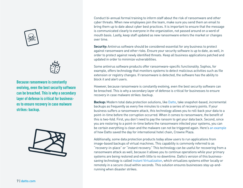



**Because ransomware is constantly evolving, even the best security software can be breached. This is why a secondary layer of defense is critical for businesses to ensure recovery in case malware strikes: backup.** 



Conduct bi-annual formal training to inform staff about the risk of ransomware and other cyber threats. When new employees join the team, make sure you send them an email to bring them up to date about cyber best practices. It is important to ensure that the message is communicated clearly to everyone in the organization, not passed around on a word of mouth basis. Lastly, keep staff updated as new ransomware enters the market or changes over time.

**Security:** Antivirus software should be considered essential for any business to protect against ransomware and other risks. Ensure your security software is up to date, as well, in order to protect against newly identified threats. Keep all business applications patched and updated in order to minimize vulnerabilities.

Some antivirus software products offer ransomware-specific functionality. Sophos, for example, offers technology that monitors systems to detect malicious activities such as file extension or registry changes. If ransomware is detected, the software has the ability to block it and alert users.

However, because ransomware is constantly evolving, even the best security software can be breached. This is why a secondary layer of defense is critical for businesses to ensure recovery in case malware strikes: backup.

**Backup:** Modern total data protection solutions, like [Datto,](http://www.datto.com/) take snapshot-based, incremental backups as frequently as every five minutes to create a series of recovery points. If your business suffers a ransomware attack, this technology allows you to roll-back your data to a point-in-time before the corruption occurred. When it comes to ransomware, the benefit of this is two-fold. First, you don't need to pay the ransom to get your data back. Second, since you are restoring to a point-in-time before the ransomware infected your systems, you can be certain everything is clean and the malware can not be triggered again. Here's [an example](http://www.datto.com/resources/teamlogic-it-case-study?adsource=content)  of how Datto saved the day for international hotel chain, Crowne Plaza.

Additionally, some data protection products today allow users to run applications from image-based backups of virtual machines. This capability is commonly referred to as "recovery-in-place" or "instant recovery." This technology can be useful for recovering from a ransomware attack as well, because it allows you to continue operations while your primary systems are being restored and with little to no downtime. Datto's version of this businesssaving technology is called [Instant Virtualization](http://www.datto.com/technologies/instant-virtualization), which virtualizes systems either locally or remotely in a secure cloud within seconds. This solution ensures businesses stay up-andrunning when disaster strikes.